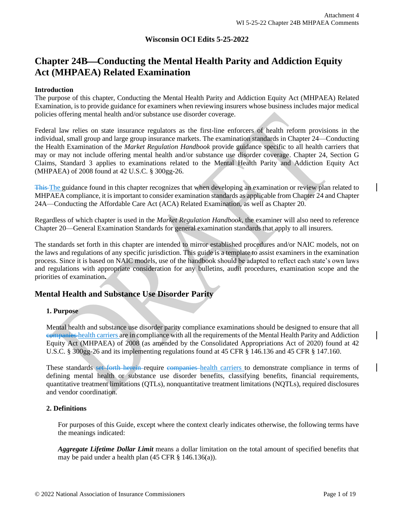## **Wisconsin OCI Edits 5-25-2022**

# **Chapter 24B**⎯**Conducting the Mental Health Parity and Addiction Equity Act (MHPAEA) Related Examination**

#### **Introduction**

The purpose of this chapter, Conducting the Mental Health Parity and Addiction Equity Act (MHPAEA) Related Examination, is to provide guidance for examiners when reviewing insurers whose business includes major medical policies offering mental health and/or substance use disorder coverage.

Federal law relies on state insurance regulators as the first-line enforcers of health reform provisions in the individual, small group and large group insurance markets. The examination standards in Chapter 24—Conducting the Health Examination of the *Market Regulation Handbook* provide guidance specific to all health carriers that may or may not include offering mental health and/or substance use disorder coverage. Chapter 24, Section G Claims, Standard 3 applies to examinations related to the Mental Health Parity and Addiction Equity Act (MHPAEA) of 2008 found at 42 U.S.C. § 300gg-26.

This The guidance found in this chapter recognizes that when developing an examination or review plan related to MHPAEA compliance, it is important to consider examination standards as applicable from Chapter 24 and Chapter 24A—Conducting the Affordable Care Act (ACA) Related Examination, as well as Chapter 20.

Regardless of which chapter is used in the *Market Regulation Handbook,* the examiner will also need to reference Chapter 20—General Examination Standards for general examination standards that apply to all insurers.

The standards set forth in this chapter are intended to mirror established procedures and/or NAIC models, not on the laws and regulations of any specific jurisdiction. This guide is a template to assist examiners in the examination process. Since it is based on NAIC models, use of the handbook should be adapted to reflect each state's own laws and regulations with appropriate consideration for any bulletins, audit procedures, examination scope and the priorities of examination**.**

## **Mental Health and Substance Use Disorder Parity**

## **1. Purpose**

Mental health and substance use disorder parity compliance examinations should be designed to ensure that all companies health carriers are in compliance with all the requirements of the Mental Health Parity and Addiction Equity Act (MHPAEA) of 2008 (as amended by the Consolidated Appropriations Act of 2020) found at 42 U.S.C. § 300gg-26 and its implementing regulations found at 45 CFR § 146.136 and 45 CFR § 147.160.

These standards set forth herein require companies health carriers to demonstrate compliance in terms of defining mental health or substance use disorder benefits, classifying benefits, financial requirements, quantitative treatment limitations (QTLs), nonquantitative treatment limitations (NQTLs), required disclosures and vendor coordination.

## **2. Definitions**

For purposes of this Guide, except where the context clearly indicates otherwise, the following terms have the meanings indicated:

*Aggregate Lifetime Dollar Limit* means a dollar limitation on the total amount of specified benefits that may be paid under a health [plan](https://www.law.cornell.edu/definitions/index.php?width=840&height=800&iframe=true&def_id=2b74e43866fc5b8f1f15155c434c7c1d&term_occur=1&term_src=Title:45:Chapter:A:Subchapter:B:Part:146:Subpart:C:146.136) (45 CFR § 146.136(a)).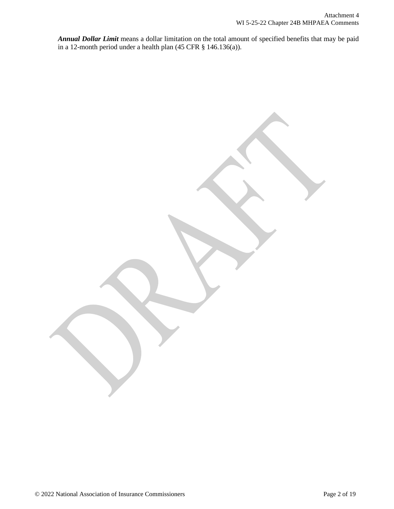*Annual Dollar Limit* means a dollar limitation on the total amount of specified benefits that may be paid in a 12-month period under a health [plan](https://www.law.cornell.edu/definitions/index.php?width=840&height=800&iframe=true&def_id=2b74e43866fc5b8f1f15155c434c7c1d&term_occur=2&term_src=Title:45:Chapter:A:Subchapter:B:Part:146:Subpart:C:146.136) (45 CFR § 146.136(a)).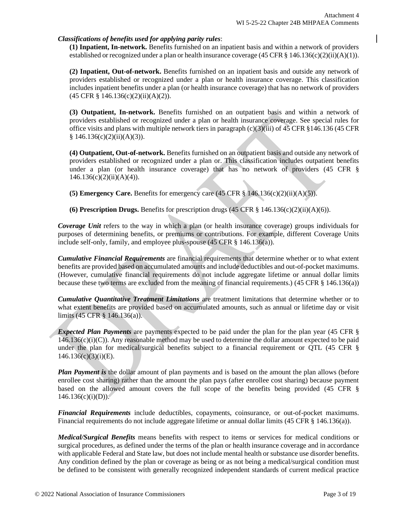## *Classifications of benefits used for applying parity rules*:

**(1) Inpatient, In-network.** Benefits furnished on an inpatient basis and within a network of providers established or recognized under [a plan](https://www.law.cornell.edu/definitions/index.php?width=840&height=800&iframe=true&def_id=2b74e43866fc5b8f1f15155c434c7c1d&term_occur=28&term_src=Title:45:Chapter:A:Subchapter:B:Part:146:Subpart:C:146.136) o[r health insurance coverage](https://www.law.cornell.edu/definitions/index.php?width=840&height=800&iframe=true&def_id=8cb1da61fe4207bff7613d72e6094944&term_occur=8&term_src=Title:45:Chapter:A:Subchapter:B:Part:146:Subpart:C:146.136)  $(45 \text{ CFR} \text{ s } 146.136(c)(2)(ii)(A)(1))$ .

**(2) Inpatient, Out-of-network.** Benefits furnished on an inpatient basis and outside any network of providers established or recognized under a [plan](https://www.law.cornell.edu/definitions/index.php?width=840&height=800&iframe=true&def_id=2b74e43866fc5b8f1f15155c434c7c1d&term_occur=30&term_src=Title:45:Chapter:A:Subchapter:B:Part:146:Subpart:C:146.136) or [health insurance coverage.](https://www.law.cornell.edu/definitions/index.php?width=840&height=800&iframe=true&def_id=8cb1da61fe4207bff7613d72e6094944&term_occur=9&term_src=Title:45:Chapter:A:Subchapter:B:Part:146:Subpart:C:146.136) This classification includes inpatient benefits under a [plan](https://www.law.cornell.edu/definitions/index.php?width=840&height=800&iframe=true&def_id=2b74e43866fc5b8f1f15155c434c7c1d&term_occur=31&term_src=Title:45:Chapter:A:Subchapter:B:Part:146:Subpart:C:146.136) (or health insurance coverage) that has no network of providers (45 CFR § 146.136(c)(2)(ii)(A)(2)).

**(3) Outpatient, In-network.** Benefits furnished on an outpatient basis and within a network of providers established or recognized under a [plan](https://www.law.cornell.edu/definitions/index.php?width=840&height=800&iframe=true&def_id=2b74e43866fc5b8f1f15155c434c7c1d&term_occur=32&term_src=Title:45:Chapter:A:Subchapter:B:Part:146:Subpart:C:146.136) or [health insurance coverage.](https://www.law.cornell.edu/definitions/index.php?width=840&height=800&iframe=true&def_id=8cb1da61fe4207bff7613d72e6094944&term_occur=10&term_src=Title:45:Chapter:A:Subchapter:B:Part:146:Subpart:C:146.136) See special rules for office visits and [plans](https://www.law.cornell.edu/definitions/index.php?width=840&height=800&iframe=true&def_id=2b74e43866fc5b8f1f15155c434c7c1d&term_occur=33&term_src=Title:45:Chapter:A:Subchapter:B:Part:146:Subpart:C:146.136) with multiple network tiers in paragraph  $(c)(3)(iii)$  of 45 CFR §146.136 (45 CFR  $§ 146.136(c)(2)(ii)(A)(3)).$ 

**(4) Outpatient, Out-of-network.** Benefits furnished on an outpatient basis and outside any network of providers established or recognized under a [plan](https://www.law.cornell.edu/definitions/index.php?width=840&height=800&iframe=true&def_id=2b74e43866fc5b8f1f15155c434c7c1d&term_occur=34&term_src=Title:45:Chapter:A:Subchapter:B:Part:146:Subpart:C:146.136) or. This classification includes outpatient benefits under a [plan](https://www.law.cornell.edu/definitions/index.php?width=840&height=800&iframe=true&def_id=2b74e43866fc5b8f1f15155c434c7c1d&term_occur=35&term_src=Title:45:Chapter:A:Subchapter:B:Part:146:Subpart:C:146.136) (or health insurance coverage) that has no network of providers (45 CFR §  $146.136(c)(2)(ii)(A)(4)$ ).

**(5) Emergency Care.** Benefits for emergency care (45 CFR § 146.136(c)(2)(ii)(A)(5)).

**(6) Prescription Drugs.** Benefits for prescription drugs  $(45 \text{ CFR} \text{ s } 146.136(c)(2)(ii)(A)(6))$ .

*Coverage Unit* refers to the way in which a plan (or health insurance coverage) groups individuals for purposes of determining benefits, or premiums or contributions. For example, different Coverage Units include self-only, family, and employee plus-spouse (45 CFR § 146.136(a)).

*Cumulative Financial Requirements* are financial requirements that determine whether or to what extent benefits are provided based on accumulated amounts and include deductibles and out-of-pocket maximums. (However, cumulative financial requirements do not include aggregate lifetime or [annual dollar limits](https://www.law.cornell.edu/definitions/index.php?width=840&height=800&iframe=true&def_id=7f56875d11485b39c0a27cff3b1ab77e&term_occur=1&term_src=Title:45:Chapter:A:Subchapter:B:Part:146:Subpart:C:146.136) because these two terms are excluded from the meaning of financial requirements.) (45 CFR § 146.136(a))

*Cumulative Quantitative Treatment Limitations* are treatment limitations that determine whether or to what extent benefits are provided based on accumulated amounts, such as annual or lifetime day or visit limits (45 CFR § 146.136(a)).

*Expected Plan Payments* are payments expected to be paid under the plan for the plan year (45 CFR §  $146.136(c)(i)(C)$ . Any reasonable method may be used to determine the dollar amount expected to be paid under the plan for medical/surgical benefits subject to a financial requirement or QTL (45 CFR §  $146.136(c)(3)(i)(E)$ .

*Plan Payment is* the dollar amount of plan payments and is based on the amount the plan allows (before enrollee cost sharing) rather than the amount the plan pays (after enrollee cost sharing) because payment based on the allowed amount covers the full scope of the benefits being provided (45 CFR §  $146.136(c)(i)(D)$ .

*Financial Requirements* include deductibles, copayments, coinsurance, or out-of-pocket maximums. Financial requirements do not include aggregate lifetime or annual dollar limits (45 CFR § 146.136(a)).

*Medical/Surgical Benefits* means benefits with respect to items or services for [medical conditions](https://www.law.cornell.edu/definitions/index.php?width=840&height=800&iframe=true&def_id=d31d497f23c5f210f7b1a5c6b3e26d64&term_occur=1&term_src=Title:45:Chapter:A:Subchapter:B:Part:146:Subpart:C:146.136) or surgical procedures, as defined under the terms of the [plan](https://www.law.cornell.edu/definitions/index.php?width=840&height=800&iframe=true&def_id=2b74e43866fc5b8f1f15155c434c7c1d&term_occur=3&term_src=Title:45:Chapter:A:Subchapter:B:Part:146:Subpart:C:146.136) o[r health insurance coverage](https://www.law.cornell.edu/definitions/index.php?width=840&height=800&iframe=true&def_id=8cb1da61fe4207bff7613d72e6094944&term_occur=3&term_src=Title:45:Chapter:A:Subchapter:B:Part:146:Subpart:C:146.136) and in accordance with applicable Federal an[d State](https://www.law.cornell.edu/definitions/index.php?width=840&height=800&iframe=true&def_id=8d9629d585bd46c22375f1e87dfcd90e&term_occur=1&term_src=Title:45:Chapter:A:Subchapter:B:Part:146:Subpart:C:146.136) law, but does not include mental health o[r substance use disorder benefits.](https://www.law.cornell.edu/definitions/index.php?width=840&height=800&iframe=true&def_id=4119d6e3dfc71dd333ba29850086a9d5&term_occur=2&term_src=Title:45:Chapter:A:Subchapter:B:Part:146:Subpart:C:146.136) Any [condition](https://www.law.cornell.edu/definitions/index.php?width=840&height=800&iframe=true&def_id=7534aa4414c62d31b280cea73618c915&term_occur=1&term_src=Title:45:Chapter:A:Subchapter:B:Part:146:Subpart:C:146.136) defined by the [plan](https://www.law.cornell.edu/definitions/index.php?width=840&height=800&iframe=true&def_id=2b74e43866fc5b8f1f15155c434c7c1d&term_occur=4&term_src=Title:45:Chapter:A:Subchapter:B:Part:146:Subpart:C:146.136) or coverage as being or as not being a medical/surgical [condition](https://www.law.cornell.edu/definitions/index.php?width=840&height=800&iframe=true&def_id=7534aa4414c62d31b280cea73618c915&term_occur=2&term_src=Title:45:Chapter:A:Subchapter:B:Part:146:Subpart:C:146.136) must be defined to be consistent with generally recognized independent standards of current medical practice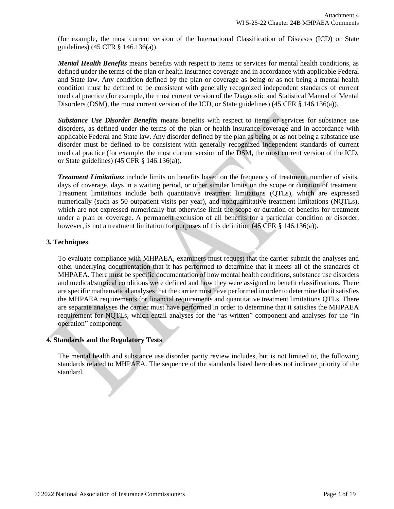(for example, the most current version of the International Classification of Diseases (ICD) or [State](https://www.law.cornell.edu/definitions/index.php?width=840&height=800&iframe=true&def_id=8d9629d585bd46c22375f1e87dfcd90e&term_occur=2&term_src=Title:45:Chapter:A:Subchapter:B:Part:146:Subpart:C:146.136) guidelines) (45 CFR § 146.136(a)).

*Mental Health Benefits* means benefits with respect to items or services for mental health conditions, as defined under the terms of the [plan](https://www.law.cornell.edu/definitions/index.php?width=840&height=800&iframe=true&def_id=2b74e43866fc5b8f1f15155c434c7c1d&term_occur=5&term_src=Title:45:Chapter:A:Subchapter:B:Part:146:Subpart:C:146.136) or [health insurance coverage](https://www.law.cornell.edu/definitions/index.php?width=840&height=800&iframe=true&def_id=8cb1da61fe4207bff7613d72e6094944&term_occur=4&term_src=Title:45:Chapter:A:Subchapter:B:Part:146:Subpart:C:146.136) and in accordance with applicable Federal and [State](https://www.law.cornell.edu/definitions/index.php?width=840&height=800&iframe=true&def_id=8d9629d585bd46c22375f1e87dfcd90e&term_occur=3&term_src=Title:45:Chapter:A:Subchapter:B:Part:146:Subpart:C:146.136) law. Any [condition](https://www.law.cornell.edu/definitions/index.php?width=840&height=800&iframe=true&def_id=7534aa4414c62d31b280cea73618c915&term_occur=3&term_src=Title:45:Chapter:A:Subchapter:B:Part:146:Subpart:C:146.136) defined by the [plan](https://www.law.cornell.edu/definitions/index.php?width=840&height=800&iframe=true&def_id=2b74e43866fc5b8f1f15155c434c7c1d&term_occur=6&term_src=Title:45:Chapter:A:Subchapter:B:Part:146:Subpart:C:146.136) or coverage as being or as not being a mental health [condition](https://www.law.cornell.edu/definitions/index.php?width=840&height=800&iframe=true&def_id=7534aa4414c62d31b280cea73618c915&term_occur=4&term_src=Title:45:Chapter:A:Subchapter:B:Part:146:Subpart:C:146.136) must be defined to be consistent with generally recognized independent standards of current medical practice (for example, the most current version of the Diagnostic and Statistical Manual of Mental Disorders (DSM), the most current version of the ICD, or [State](https://www.law.cornell.edu/definitions/index.php?width=840&height=800&iframe=true&def_id=8d9629d585bd46c22375f1e87dfcd90e&term_occur=4&term_src=Title:45:Chapter:A:Subchapter:B:Part:146:Subpart:C:146.136) guidelines) (45 CFR § 146.136(a)).

*Substance Use Disorder Benefits* means benefits with respect to items or services for substance use disorders, as defined under the terms of the [plan](https://www.law.cornell.edu/definitions/index.php?width=840&height=800&iframe=true&def_id=2b74e43866fc5b8f1f15155c434c7c1d&term_occur=7&term_src=Title:45:Chapter:A:Subchapter:B:Part:146:Subpart:C:146.136) or [health insurance coverage](https://www.law.cornell.edu/definitions/index.php?width=840&height=800&iframe=true&def_id=8cb1da61fe4207bff7613d72e6094944&term_occur=5&term_src=Title:45:Chapter:A:Subchapter:B:Part:146:Subpart:C:146.136) and in accordance with applicable Federal and [State](https://www.law.cornell.edu/definitions/index.php?width=840&height=800&iframe=true&def_id=8d9629d585bd46c22375f1e87dfcd90e&term_occur=5&term_src=Title:45:Chapter:A:Subchapter:B:Part:146:Subpart:C:146.136) law. Any disorder defined by the [plan](https://www.law.cornell.edu/definitions/index.php?width=840&height=800&iframe=true&def_id=2b74e43866fc5b8f1f15155c434c7c1d&term_occur=8&term_src=Title:45:Chapter:A:Subchapter:B:Part:146:Subpart:C:146.136) as being or as not being a substance use disorder must be defined to be consistent with generally recognized independent standards of current medical practice (for example, the most current version of the DSM, the most current version of the ICD, or [State](https://www.law.cornell.edu/definitions/index.php?width=840&height=800&iframe=true&def_id=8d9629d585bd46c22375f1e87dfcd90e&term_occur=6&term_src=Title:45:Chapter:A:Subchapter:B:Part:146:Subpart:C:146.136) guidelines) (45 CFR § 146.136(a)).

*Treatment Limitations* include limits on benefits based on the frequency of treatment, number of visits, days of coverage, days in a waiting period, or other similar limits on the scope or duration of treatment. Treatment limitations include both quantitative treatment limitations (QTLs), which are expressed numerically (such as 50 outpatient visits per year), and nonquantitative treatment limitations (NQTLs), which are not expressed numerically but otherwise limit the scope or duration of benefits for treatment under a [plan](https://www.law.cornell.edu/definitions/index.php?width=840&height=800&iframe=true&def_id=2b74e43866fc5b8f1f15155c434c7c1d&term_occur=9&term_src=Title:45:Chapter:A:Subchapter:B:Part:146:Subpart:C:146.136) or coverage. A permanent exclusion of all benefits for a particular [condition](https://www.law.cornell.edu/definitions/index.php?width=840&height=800&iframe=true&def_id=7534aa4414c62d31b280cea73618c915&term_occur=5&term_src=Title:45:Chapter:A:Subchapter:B:Part:146:Subpart:C:146.136) or disorder, however, is not a treatment limitation for purposes of this definition (45 CFR § 146.136(a)).

## **3. Techniques**

To evaluate compliance with MHPAEA, examiners must request that the carrier submit the analyses and other underlying documentation that it has performed to determine that it meets all of the standards of MHPAEA. There must be specific documentation of how mental health conditions, substance use disorders and medical/surgical conditions were defined and how they were assigned to benefit classifications. There are specific mathematical analyses that the carrier must have performed in order to determine that it satisfies the MHPAEA requirements for financial requirements and quantitative treatment limitations QTLs. There are separate analyses the carrier must have performed in order to determine that it satisfies the MHPAEA requirement for NQTLs, which entail analyses for the "as written" component and analyses for the "in operation" component.

## **4. Standards and the Regulatory Tests**

The mental health and substance use disorder parity review includes, but is not limited to, the following standards related to MHPAEA. The sequence of the standards listed here does not indicate priority of the standard.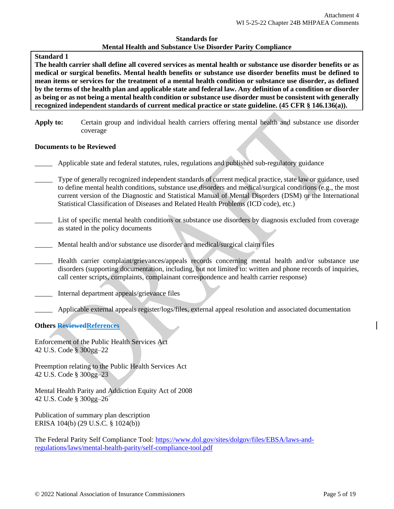#### **Standard 1**

**The health carrier shall define all covered services as mental health or substance use disorder benefits or as medical or surgical benefits. Mental health benefits or substance use disorder benefits must be defined to mean items or services for the treatment of a mental health condition or substance use disorder, as defined by the terms of the health plan and applicable state and federal law. Any definition of a condition or disorder as being or as not being a mental health condition or substance use disorder must be consistent with generally recognized independent standards of current medical practice or state guideline. (45 CFR § 146.136(a)).** 

**Apply to:** Certain group and individual health carriers offering mental health and substance use disorder coverage

#### **Documents to be Reviewed**

- \_\_\_\_\_ Applicable state and federal statutes, rules, regulations and published sub-regulatory guidance
- Type of generally recognized independent standards of current medical practice, state law or guidance, used to define mental health conditions, substance use disorders and medical/surgical conditions (e.g., the most current version of the Diagnostic and Statistical Manual of Mental Disorders (DSM) or the International Statistical Classification of Diseases and Related Health Problems (ICD code), etc.)
	- List of specific mental health conditions or substance use disorders by diagnosis excluded from coverage as stated in the policy documents
- Mental health and/or substance use disorder and medical/surgical claim files
- Health carrier complaint/grievances/appeals records concerning mental health and/or substance use disorders (supporting documentation, including, but not limited to: written and phone records of inquiries, call center scripts, complaints, complainant correspondence and health carrier response)
- Internal department appeals/grievance files
- \_\_\_\_\_ Applicable external appeals register/logs/files, external appeal resolution and associated documentation

## **Others ReviewedReferences**

Enforcement of the Public Health Services Act 42 U.S. Code § 300gg–22

Preemption relating to the Public Health Services Act 42 U.S. Code § 300gg–23

Mental Health Parity and Addiction Equity Act of 2008 42 U.S. Code § 300gg–26

Publication of summary plan description ERISA 104(b) (29 U.S.C. § 1024(b))

The Federal Parity Self Compliance Tool: [https://www.dol.gov/sites/dolgov/files/EBSA/laws-and](https://www.dol.gov/sites/dolgov/files/EBSA/laws-and-regulations/laws/mental-health-parity/self-compliance-tool.pdf)[regulations/laws/mental-health-parity/self-compliance-tool.pdf](https://www.dol.gov/sites/dolgov/files/EBSA/laws-and-regulations/laws/mental-health-parity/self-compliance-tool.pdf)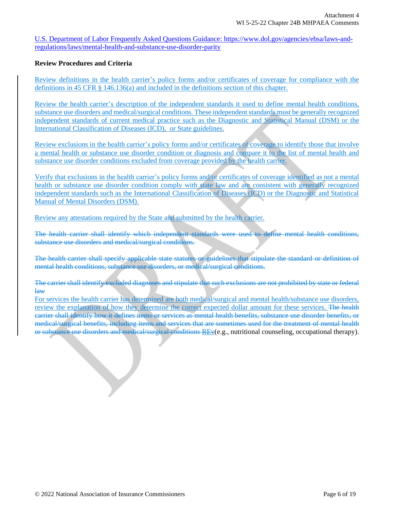U.S. Department of Labor Frequently Asked Questions Guidance: https://www.dol.gov/agencies/ebsa/laws-andregulations/laws/mental-health-and-substance-use-disorder-parity

## **Review Procedures and Criteria**

Review definitions in the health carrier's policy forms and/or certificates of coverage for compliance with the definitions in 45 CFR § 146.136(a) and included in the definitions section of this chapter.

Review the health carrier's description of the independent standards it used to define mental health conditions, substance use disorders and medical/surgical conditions. These independent standards must be generally recognized independent standards of current medical practice such as the Diagnostic and Statistical Manual (DSM) or the International Classification of Diseases (ICD), or State guidelines.

Review exclusions in the health carrier's policy forms and/or certificates of coverage to identify those that involve a mental health or substance use disorder condition or diagnosis and compare it to the list of mental health and substance use disorder conditions excluded from coverage provided by the health carrier.

Verify that exclusions in the health carrier's policy forms and/or certificates of coverage identified as not a mental health or substance use disorder condition comply with state law and are consistent with generally recognized independent standards such as the International Classification of Diseases (ICD) or the Diagnostic and Statistical Manual of Mental Disorders (DSM).

Review any attestations required by the State and submitted by the health carrier.

The health carrier shall identify which independent standards were used to define mental health conditions, substance use disorders and medical/surgical conditions.

The health carrier shall specify applicable state statutes or guidelines that stipulate the standard or definition of mental health conditions, substance use disorders, or medical/surgical conditions.

The carrier shall identify excluded diagnoses and stipulate that such exclusions are not prohibited by state or federal law

For services the health carrier has determined are both medical/surgical and mental health/substance use disorders, review the explanation of how they determine the correct expected dollar amount for these services. The health carrier shall identify how it defines items or services as mental health benefits, substance use disorder benefits, or medical/surgical benefits, including items and services that are sometimes used for the treatment of mental health or substance use disorders and medical/surgical conditions REv(e.g., nutritional counseling, occupational therapy).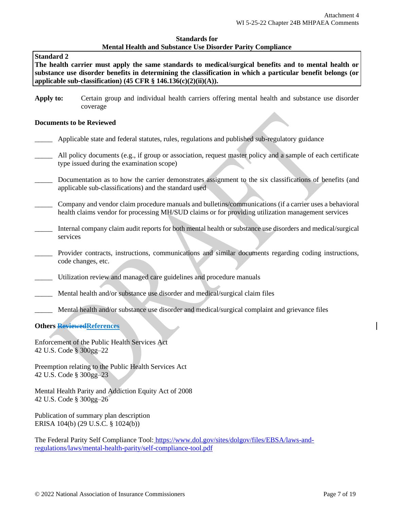#### **Standard 2**

**The health carrier must apply the same standards to medical/surgical benefits and to mental health or substance use disorder benefits in determining the classification in which a particular benefit belongs (or applicable sub-classification) (45 CFR § 146.136(c)(2)(ii)(A)).**

**Apply to:** Certain group and individual health carriers offering mental health and substance use disorder coverage

#### **Documents to be Reviewed**

- \_\_\_\_\_ Applicable state and federal statutes, rules, regulations and published sub-regulatory guidance
- All policy documents (e.g., if group or association, request master policy and a sample of each certificate type issued during the examination scope)
- Documentation as to how the carrier demonstrates assignment to the six classifications of benefits (and applicable sub-classifications) and the standard used
- \_\_\_\_\_ Company and vendor claim procedure manuals and bulletins/communications (if a carrier uses a behavioral health claims vendor for processing MH/SUD claims or for providing utilization management services
- \_\_\_\_\_ Internal company claim audit reports for both mental health or substance use disorders and medical/surgical services
- Provider contracts, instructions, communications and similar documents regarding coding instructions, code changes, etc.
- Utilization review and managed care guidelines and procedure manuals
- Mental health and/or substance use disorder and medical/surgical claim files
- Mental health and/or substance use disorder and medical/surgical complaint and grievance files

#### **Others ReviewedReferences**

Enforcement of the Public Health Services Act 42 U.S. Code § 300gg–22

Preemption relating to the Public Health Services Act 42 U.S. Code § 300gg–23

Mental Health Parity and Addiction Equity Act of 2008 42 U.S. Code § 300gg–26

Publication of summary plan description ERISA 104(b) (29 U.S.C. § 1024(b))

The Federal Parity Self Compliance Tool: [https://www.dol.gov/sites/dolgov/files/EBSA/laws-and](https://www.dol.gov/sites/dolgov/files/EBSA/laws-and-regulations/laws/mental-health-parity/self-compliance-tool.pdf)[regulations/laws/mental-health-parity/self-compliance-tool.pdf](https://www.dol.gov/sites/dolgov/files/EBSA/laws-and-regulations/laws/mental-health-parity/self-compliance-tool.pdf)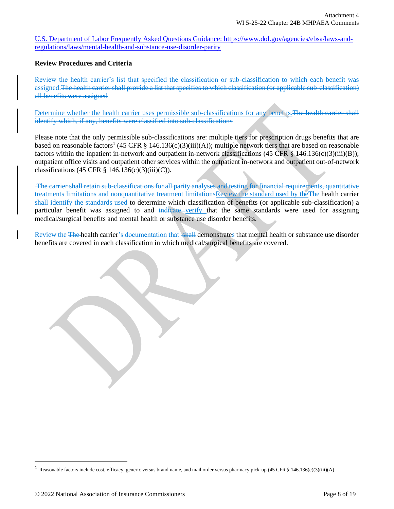U.S. Department of Labor Frequently Asked Questions Guidance: https://www.dol.gov/agencies/ebsa/laws-andregulations/laws/mental-health-and-substance-use-disorder-parity

## **Review Procedures and Criteria**

Review the health carrier's list that specified the classification or sub-classification to which each benefit was assigned.The health carrier shall provide a list that specifies to which classification (or applicable sub-classification) all benefits were assigned

Determine whether the health carrier uses permissible sub-classifications for any benefits. The health carrier shall identify which, if any, benefits were classified into sub-classifications

Please note that the only permissible sub-classifications are: multiple tiers for prescription drugs benefits that are based on reasonable factors<sup>1</sup> (45 CFR  $\S$  146.136(c)(3)(iii)(A)); multiple network tiers that are based on reasonable factors within the inpatient in-network and outpatient in-network classifications (45 CFR § 146.136(c)(3)(iii)(B)); outpatient office visits and outpatient other services within the outpatient in-network and outpatient out-of-network classifications (45 CFR  $\S$  146.136(c)(3)(iii)(C)).

The carrier shall retain sub-classifications for all parity analyses and testing for financial requirements, quantitative treatments limitations and nonquantitative treatment limitationsReview the standard used by theThe health carrier shall identify the standards used to determine which classification of benefits (or applicable sub-classification) a particular benefit was assigned to and indicate verify that the same standards were used for assigning medical/surgical benefits and mental health or substance use disorder benefits.

Review the The health carrier's documentation that shall demonstrates that mental health or substance use disorder benefits are covered in each classification in which medical/surgical benefits are covered.

<sup>1</sup> Reasonable factors include cost, efficacy, generic versus brand name, and mail order versus pharmacy pick-up (45 CFR § 146.136(c)(3)(iii)(A)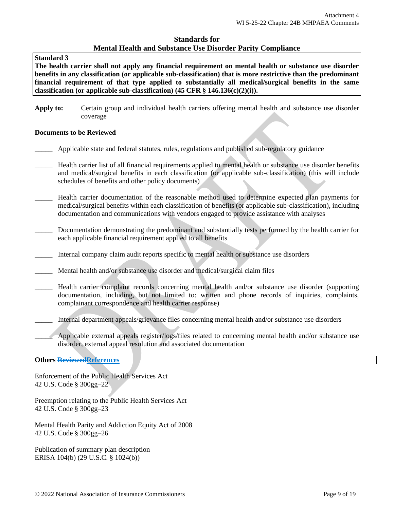## **Standard 3**

**The health carrier shall not apply any financial requirement on mental health or substance use disorder benefits in any classification (or applicable sub-classification) that is more restrictive than the predominant financial requirement of that type applied to substantially all medical/surgical benefits in the same classification (or applicable sub-classification) (45 CFR § 146.136(c)(2)(i)).**

**Apply to:** Certain group and individual health carriers offering mental health and substance use disorder coverage

#### **Documents to be Reviewed**

- Applicable state and federal statutes, rules, regulations and published sub-regulatory guidance
- \_\_\_\_\_ Health carrier list of all financial requirements applied to mental health or substance use disorder benefits and medical/surgical benefits in each classification (or applicable sub-classification) (this will include schedules of benefits and other policy documents)
- Health carrier documentation of the reasonable method used to determine expected plan payments for medical/surgical benefits within each classification of benefits (or applicable sub-classification), including documentation and communications with vendors engaged to provide assistance with analyses
- Documentation demonstrating the predominant and substantially tests performed by the health carrier for each applicable financial requirement applied to all benefits
- Internal company claim audit reports specific to mental health or substance use disorders
- Mental health and/or substance use disorder and medical/surgical claim files
- Health carrier complaint records concerning mental health and/or substance use disorder (supporting documentation, including, but not limited to: written and phone records of inquiries, complaints, complainant correspondence and health carrier response)
- \_\_\_\_\_ Internal department appeals/grievance files concerning mental health and/or substance use disorders
- Applicable external appeals register/logs/files related to concerning mental health and/or substance use disorder, external appeal resolution and associated documentation

## **Others ReviewedReferences**

Enforcement of the Public Health Services Act 42 U.S. Code § 300gg–22

Preemption relating to the Public Health Services Act 42 U.S. Code § 300gg–23

Mental Health Parity and Addiction Equity Act of 2008 42 U.S. Code § 300gg–26

Publication of summary plan description ERISA 104(b) (29 U.S.C. § 1024(b))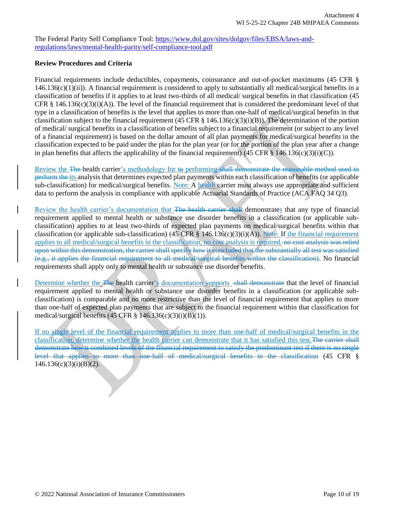The Federal Parity Self Compliance Tool: [https://www.dol.gov/sites/dolgov/files/EBSA/laws-and](https://www.dol.gov/sites/dolgov/files/EBSA/laws-and-regulations/laws/mental-health-parity/self-compliance-tool.pdf)[regulations/laws/mental-health-parity/self-compliance-tool.pdf](https://www.dol.gov/sites/dolgov/files/EBSA/laws-and-regulations/laws/mental-health-parity/self-compliance-tool.pdf)

## **Review Procedures and Criteria**

Financial requirements include deductibles, copayments, coinsurance and out-of-pocket maximums (45 CFR §  $146.136(c)(1)(ii)$ . A financial requirement is considered to apply to substantially all medical/surgical benefits in a classification of benefits if it applies to at least two-thirds of all medical/ surgical benefits in that classification (45 CFR § 146.136(c)(3)(i)(A)). The level of the financial requirement that is considered the predominant level of that type in a classification of benefits is the level that applies to more than one-half of medical/surgical benefits in that classification subject to the financial requirement (45 CFR  $\S$  146.136(c)(3)(i)(B)). The determination of the portion of medical/ surgical benefits in a classification of benefits subject to a financial requirement (or subject to any level of a financial requirement) is based on the dollar amount of all plan payments for medical/surgical benefits in the classification expected to be paid under the plan for the plan year (or for the portion of the plan year after a change in plan benefits that affects the applicability of the financial requirement) (45 CFR § 146.136(c)(3)(i)(C)).

Review the The health carrier's methodology for to performing shall demonstrate the reasonable method used to perform the its analysis that determines expected plan payments within each classification of benefits (or applicable sub-classification) for medical/surgical benefits. Note: A health carrier must always use appropriate and sufficient data to perform the analysis in compliance with applicable Actuarial Standards of Practice (ACA FAQ 34 Q3).

Review the health carrier's documentation that The health carrier shall demonstrates that any type of financial requirement applied to mental health or substance use disorder benefits in a classification (or applicable subclassification) applies to at least two-thirds of expected plan payments on medical/surgical benefits within that classification (or applicable sub-classification) (45 CFR § 146.136(c)(3)(i)(A)). Note: If the financial requirement applies to all medical/surgical benefits in the classification, no cost analysis is required. no cost analysis was relied upon within this demonstration, the carrier shall specify how it concluded that the substantially all test was satisfied (e.g., it applies the financial requirement to all medical/surgical benefits within the classification). No financial requirements shall apply only to mental health or substance use disorder benefits.

Determine whether the The health carrier's documentation supports -shall demonstrate that the level of financial requirement applied to mental health or substance use disorder benefits in a classification (or applicable subclassification) is comparable and no more restrictive than the level of financial requirement that applies to more than one-half of expected plan payments that are subject to the financial requirement within that classification for medical/surgical benefits  $(45 \text{ CFR} \text{ § } 146.136(c)(3)(i)(B)(1)).$ 

If no single level of the financial requirement applies to more than one-half of medical/surgical benefits in the classification, determine whether the health carrier can demonstrate that it has satisfied this test.The carrier shall demonstrate how it combined levels of the financial requirement to satisfy the predominant test if there is no single level that applies to more than one-half of medical/surgical benefits in the classification (45 CFR §  $146.136(c)(3)(i)(B)(2)$ .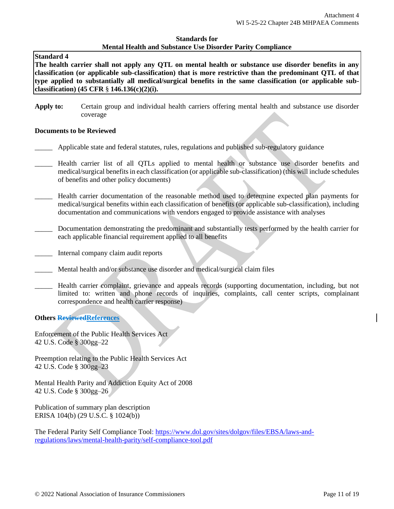#### **Standard 4**

**The health carrier shall not apply any QTL on mental health or substance use disorder benefits in any classification (or applicable sub-classification) that is more restrictive than the predominant QTL of that type applied to substantially all medical/surgical benefits in the same classification (or applicable subclassification) (45 CFR** § **146.136(c)(2)(i).** 

**Apply to:** Certain group and individual health carriers offering mental health and substance use disorder coverage

#### **Documents to be Reviewed**

- \_\_\_\_\_ Applicable state and federal statutes, rules, regulations and published sub-regulatory guidance
- Health carrier list of all QTLs applied to mental health or substance use disorder benefits and medical/surgical benefits in each classification (or applicable sub-classification) (this will include schedules of benefits and other policy documents)
- \_\_\_\_\_ Health carrier documentation of the reasonable method used to determine expected plan payments for medical/surgical benefits within each classification of benefits (or applicable sub-classification), including documentation and communications with vendors engaged to provide assistance with analyses
- Documentation demonstrating the predominant and substantially tests performed by the health carrier for each applicable financial requirement applied to all benefits
- \_\_\_\_\_ Internal company claim audit reports
- Mental health and/or substance use disorder and medical/surgical claim files
- \_\_\_\_\_ Health carrier complaint, grievance and appeals records (supporting documentation, including, but not limited to: written and phone records of inquiries, complaints, call center scripts, complainant correspondence and health carrier response)

## **Others ReviewedReferences**

Enforcement of the Public Health Services Act 42 U.S. Code § 300gg–22

Preemption relating to the Public Health Services Act 42 U.S. Code § 300gg–23

Mental Health Parity and Addiction Equity Act of 2008 42 U.S. Code § 300gg–26

Publication of summary plan description ERISA 104(b) (29 U.S.C. § 1024(b))

The Federal Parity Self Compliance Tool[: https://www.dol.gov/sites/dolgov/files/EBSA/laws-and](https://www.dol.gov/sites/dolgov/files/EBSA/laws-and-regulations/laws/mental-health-parity/self-compliance-tool.pdf)[regulations/laws/mental-health-parity/self-compliance-tool.pdf](https://www.dol.gov/sites/dolgov/files/EBSA/laws-and-regulations/laws/mental-health-parity/self-compliance-tool.pdf)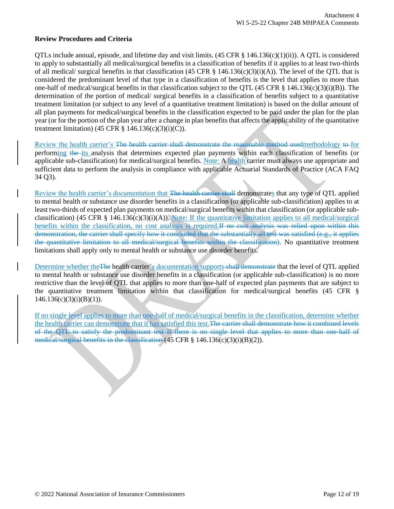## **Review Procedures and Criteria**

OTLs include annual, episode, and lifetime day and visit limits.  $(45 \text{ CFR} \text{ § } 146.136(c)(1)(ii))$ . A OTL is considered to apply to substantially all medical/surgical benefits in a classification of benefits if it applies to at least two-thirds of all medical/ surgical benefits in that classification (45 CFR  $\S$  146.136(c)(3)(i)(A)). The level of the QTL that is considered the predominant level of that type in a classification of benefits is the level that applies to more than one-half of medical/surgical benefits in that classification subject to the QTL (45 CFR  $\S$  146.136(c)(3)(i)(B)). The determination of the portion of medical/ surgical benefits in a classification of benefits subject to a quantitative treatment limitation (or subject to any level of a quantitative treatment limitation) is based on the dollar amount of all plan payments for medical/surgical benefits in the classification expected to be paid under the plan for the plan year (or for the portion of the plan year after a change in plan benefits that affects the applicability of the quantitative treatment limitation) (45 CFR  $\S$  146.136(c)(3)(i)(C)).

Review the health carrier's The health carrier shall demonstrate the reasonable method usedmethodology to for performing the its analysis that determines expected plan payments within each classification of benefits (or applicable sub-classification) for medical/surgical benefits. Note: A health carrier must always use appropriate and sufficient data to perform the analysis in compliance with applicable Actuarial Standards of Practice (ACA FAQ 34 Q3).

Review the health carrier's documentation that The health carrier shall demonstrates that any type of QTL applied to mental health or substance use disorder benefits in a classification (or applicable sub-classification) applies to at least two-thirds of expected plan payments on medical/surgical benefits within that classification (or applicable subclassification) (45 CFR § 146.136(c)(3)(i)(A)). Note: If the quantitative limitation applies to all medical/surgical benefits within the classification, no cost analysis is required.If no cost analysis was relied upon within this demonstration, the carrier shall specify how it concluded that the substantially all test was satisfied (e.g., it applies the quantitative limitation to all medical/surgical benefits within the classification). No quantitative treatment limitations shall apply only to mental health or substance use disorder benefits.

Determine whether the The health carrier's documentation supports shall demonstrate that the level of QTL applied to mental health or substance use disorder benefits in a classification (or applicable sub-classification) is no more restrictive than the level of QTL that applies to more than one-half of expected plan payments that are subject to the quantitative treatment limitation within that classification for medical/surgical benefits (45 CFR §  $146.136(c)(3)(i)(B)(1)$ .

If no single level applies to more than one-half of medical/surgical benefits in the classification, determine whether the health carrier can demonstrate that it has satisfied this test. The carrier shall demonstrate how it combined levels of the QTL to satisfy the predominant test If there is no single level that applies to more than one-half of medical/surgical benefits in the classification (45 CFR § 146.136(c)(3)(i)(B)(2)).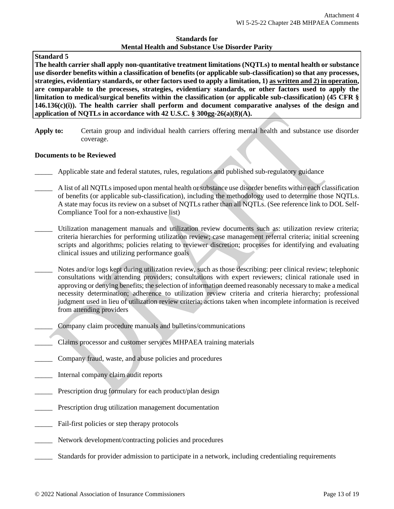## **Standard 5**

**The health carrier shall apply non-quantitative treatment limitations (NQTLs) to mental health or substance use disorder benefits within a classification of benefits (or applicable sub-classification) so that any processes, strategies, evidentiary standards, or other factors used to apply a limitation, 1) as written and 2) in operation, are comparable to the processes, strategies, evidentiary standards, or other factors used to apply the limitation to medical/surgical benefits within the classification (or applicable sub-classification) (45 CFR § 146.136(c)(i)). The health carrier shall perform and document comparative analyses of the design and application of NQTLs in accordance with 42 U.S.C. § 300gg-26(a)(8)(A).** 

**Apply to:** Certain group and individual health carriers offering mental health and substance use disorder coverage.

## **Documents to be Reviewed**

- \_\_\_\_\_ Applicable state and federal statutes, rules, regulations and published sub-regulatory guidance
- A list of all NQTLs imposed upon mental health or substance use disorder benefits within each classification of benefits (or applicable sub-classification), including the methodology used to determine those NQTLs. A state may focus its review on a subset of NQTLs rather than all NQTLs. (See reference link to DOL Self-Compliance Tool for a non-exhaustive list)
- \_\_\_\_\_ Utilization management manuals and utilization review documents such as: utilization review criteria; criteria hierarchies for performing utilization review; case management referral criteria; initial screening scripts and algorithms; policies relating to reviewer discretion; processes for identifying and evaluating clinical issues and utilizing performance goals
- Notes and/or logs kept during utilization review, such as those describing: peer clinical review; telephonic consultations with attending providers; consultations with expert reviewers; clinical rationale used in approving or denying benefits; the selection of information deemed reasonably necessary to make a medical necessity determination; adherence to utilization review criteria and criteria hierarchy; professional judgment used in lieu of utilization review criteria; actions taken when incomplete information is received from attending providers
	- \_\_\_\_\_ Company claim procedure manuals and bulletins/communications
- \_\_\_\_\_ Claims processor and customer services MHPAEA training materials
- Company fraud, waste, and abuse policies and procedures
- \_\_\_\_\_ Internal company claim audit reports
- Prescription drug formulary for each product/plan design
- Prescription drug utilization management documentation
- Fail-first policies or step therapy protocols
- Network development/contracting policies and procedures
- \_\_\_\_\_ Standards for provider admission to participate in a network, including credentialing requirements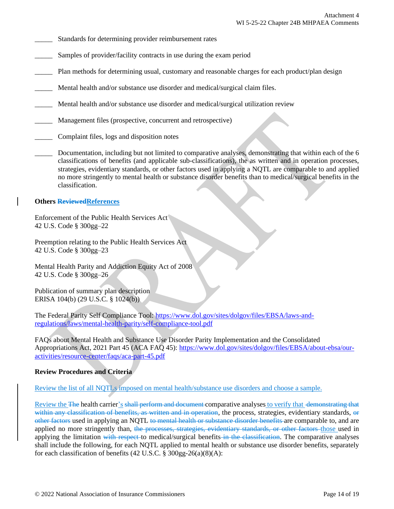- Standards for determining provider reimbursement rates
- Samples of provider/facility contracts in use during the exam period
- [Plan](https://www.law.cornell.edu/definitions/index.php?width=840&height=800&iframe=true&def_id=2b74e43866fc5b8f1f15155c434c7c1d&term_occur=70&term_src=Title:45:Chapter:A:Subchapter:B:Part:146:Subpart:C:146.136) methods for determining usual, customary and reasonable charges for each product/plan design
- Mental health and/or substance use disorder and medical/surgical claim files.
- Mental health and/or substance use disorder and medical/surgical utilization review
- Management files (prospective, concurrent and retrospective)
- Complaint files, logs and disposition notes
- Documentation, including but not limited to comparative analyses, demonstrating that within each of the 6 classifications of benefits (and applicable sub-classifications), the as written and in operation processes, strategies, evidentiary standards, or other factors used in applying a NQTL are comparable to and applied no more stringently to mental health or substance disorder benefits than to medical/surgical benefits in the classification.

## **Others ReviewedReferences**

Enforcement of the Public Health Services Act 42 U.S. Code § 300gg–22

Preemption relating to the Public Health Services Act 42 U.S. Code § 300gg–23

Mental Health Parity and Addiction Equity Act of 2008 42 U.S. Code § 300gg–26

Publication of summary plan description ERISA 104(b) (29 U.S.C. § 1024(b))

The Federal Parity Self Compliance Tool: [https://www.dol.gov/sites/dolgov/files/EBSA/laws-and](https://www.dol.gov/sites/dolgov/files/EBSA/laws-and-regulations/laws/mental-health-parity/self-compliance-tool.pdf)[regulations/laws/mental-health-parity/self-compliance-tool.pdf](https://www.dol.gov/sites/dolgov/files/EBSA/laws-and-regulations/laws/mental-health-parity/self-compliance-tool.pdf)

FAQs about Mental Health and Substance Use Disorder Parity Implementation and the Consolidated Appropriations Act, 2021 Part 45 (ACA FAQ 45): [https://www.dol.gov/sites/dolgov/files/EBSA/about-ebsa/our](https://www.dol.gov/sites/dolgov/files/EBSA/about-ebsa/our-activities/resource-center/faqs/aca-part-45.pdf)[activities/resource-center/faqs/aca-part-45.pdf](https://www.dol.gov/sites/dolgov/files/EBSA/about-ebsa/our-activities/resource-center/faqs/aca-part-45.pdf)

## **Review Procedures and Criteria**

Review the list of all NQTLs imposed on mental health/substance use disorders and choose a sample.

Review the The health carrier's shall perform and document comparative analyses to verify that demonstrating that within any classification of benefits, as written and in operation, the process, strategies, evidentiary standards, or other factors used in applying an NQTL to mental health or substance disorder benefits are comparable to, and are applied no more stringently than, the processes, strategies, evidentiary standards, or other factors those used in applying the limitation with respect to medical/surgical benefits in the classification. The comparative analyses shall include the following, for each NQTL applied to mental health or substance use disorder benefits, separately for each classification of benefits  $(42 \text{ U.S.C.} \$ § 300gg-26(a)(8)(A):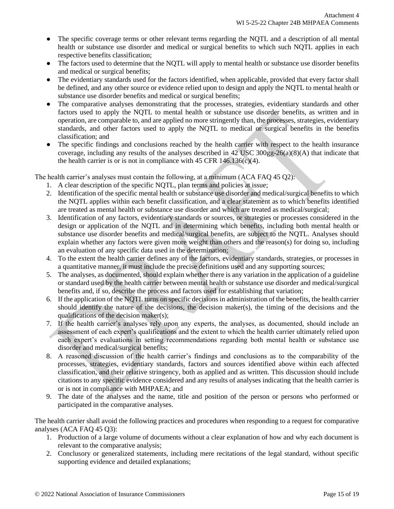- The specific coverage terms or other relevant terms regarding the NQTL and a description of all mental health or substance use disorder and medical or surgical benefits to which such NQTL applies in each respective benefits classification;
- The factors used to determine that the NQTL will apply to mental health or substance use disorder benefits and medical or surgical benefits;
- The evidentiary standards used for the factors identified, when applicable, provided that every factor shall be defined, and any other source or evidence relied upon to design and apply the NQTL to mental health or substance use disorder benefits and medical or surgical benefits;
- The comparative analyses demonstrating that the processes, strategies, evidentiary standards and other factors used to apply the NQTL to mental health or substance use disorder benefits, as written and in operation, are comparable to, and are applied no more stringently than, the processes, strategies, evidentiary standards, and other factors used to apply the NQTL to medical or surgical benefits in the benefits classification; and
- The specific findings and conclusions reached by the health carrier with respect to the health insurance coverage, including any results of the analyses described in 42 USC  $300gg-26(a)(8)(A)$  that indicate that the health carrier is or is not in compliance with  $45$  CFR  $146.136(c)(4)$ .

The health carrier's analyses must contain the following, at a minimum (ACA FAQ 45 Q2):

- 1. A clear description of the specific NQTL, plan terms and policies at issue;
- 2. Identification of the specific mental health or substance use disorder and medical/surgical benefits to which the NQTL applies within each benefit classification, and a clear statement as to which benefits identified are treated as mental health or substance use disorder and which are treated as medical/surgical;
- 3. Identification of any factors, evidentiary standards or sources, or strategies or processes considered in the design or application of the NQTL and in determining which benefits, including both mental health or substance use disorder benefits and medical/surgical benefits, are subject to the NQTL. Analyses should explain whether any factors were given more weight than others and the reason(s) for doing so, including an evaluation of any specific data used in the determination;
- 4. To the extent the health carrier defines any of the factors, evidentiary standards, strategies, or processes in a quantitative manner, it must include the precise definitions used and any supporting sources;
- 5. The analyses, as documented, should explain whether there is any variation in the application of a guideline or standard used by the health carrier between mental health or substance use disorder and medical/surgical benefits and, if so, describe the process and factors used for establishing that variation;
- 6. If the application of the NQTL turns on specific decisions in administration of the benefits, the health carrier should identify the nature of the decisions, the decision maker(s), the timing of the decisions and the qualifications of the decision maker(s);
- 7. If the health carrier's analyses rely upon any experts, the analyses, as documented, should include an assessment of each expert's qualifications and the extent to which the health carrier ultimately relied upon each expert's evaluations in setting recommendations regarding both mental health or substance use disorder and medical/surgical benefits;
- 8. A reasoned discussion of the health carrier's findings and conclusions as to the comparability of the processes, strategies, evidentiary standards, factors and sources identified above within each affected classification, and their relative stringency, both as applied and as written. This discussion should include citations to any specific evidence considered and any results of analyses indicating that the health carrier is or is not in compliance with MHPAEA; and
- 9. The date of the analyses and the name, title and position of the person or persons who performed or participated in the comparative analyses.

The health carrier shall avoid the following practices and procedures when responding to a request for comparative analyses (ACA FAQ 45 Q3):

- 1. Production of a large volume of documents without a clear explanation of how and why each document is relevant to the comparative analysis;
- 2. Conclusory or generalized statements, including mere recitations of the legal standard, without specific supporting evidence and detailed explanations;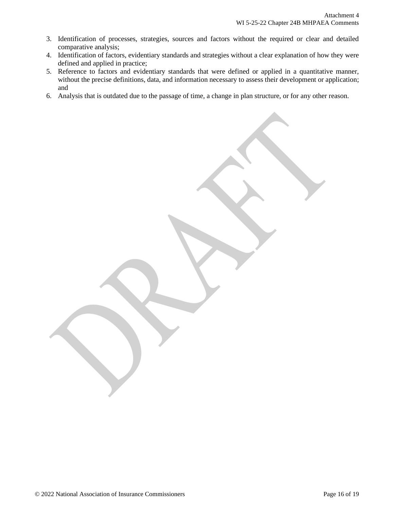- 3. Identification of processes, strategies, sources and factors without the required or clear and detailed comparative analysis;
- 4. Identification of factors, evidentiary standards and strategies without a clear explanation of how they were defined and applied in practice;
- 5. Reference to factors and evidentiary standards that were defined or applied in a quantitative manner, without the precise definitions, data, and information necessary to assess their development or application; and
- 6. Analysis that is outdated due to the passage of time, a change in plan structure, or for any other reason.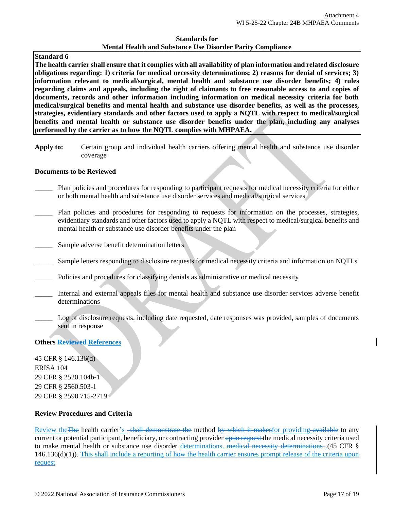## **Standard 6**

**The health carrier shall ensure that it complies with all availability of plan information and related disclosure obligations regarding: 1) criteria for medical necessity determinations; 2) reasons for denial of services; 3) information relevant to medical/surgical, mental health and substance use disorder benefits; 4) rules regarding claims and appeals, including the right of claimants to free reasonable access to and copies of documents, records and other information including information on medical necessity criteria for both medical/surgical benefits and mental health and substance use disorder benefits, as well as the processes, strategies, evidentiary standards and other factors used to apply a NQTL with respect to medical/surgical benefits and mental health or substance use disorder benefits under the plan, including any analyses performed by the carrier as to how the NQTL complies with MHPAEA.** 

**Apply to:** Certain group and individual health carriers offering mental health and substance use disorder coverage

#### **Documents to be Reviewed**

- \_\_\_\_\_ Plan policies and procedures for responding to participant requests for medical necessity criteria for either or both mental health and substance use disorder services and medical/surgical services
- Plan policies and procedures for responding to requests for information on the processes, strategies, evidentiary standards and other factors used to apply a NQTL with respect to medical/surgical benefits and mental health or substance use disorder benefits under the plan
- Sample adverse benefit determination letters
- Sample letters responding to disclosure requests for medical necessity criteria and information on NQTLs
- Policies and procedures for classifying denials as administrative or medical necessity
- Internal and external appeals files for mental health and substance use disorder services adverse benefit determinations
	- Log of disclosure requests, including date requested, date responses was provided, samples of documents sent in response

## **Others Reviewed References**

45 CFR § 146.136(d) ERISA 104 29 CFR § 2520.104b-1 29 CFR § 2560.503-1 29 CFR § 2590.715-2719

## **Review Procedures and Criteria**

Review the The health carrier's -shall demonstrate the method by which it makesfor providing available to any current or potential participant, beneficiary, or contracting provider upon request the medical necessity criteria used to make mental health or substance use disorder determinations. medical necessity determinations ... (45 CFR § 146.136(d)(1)). This shall include a reporting of how the health carrier ensures prompt release of the criteria upon request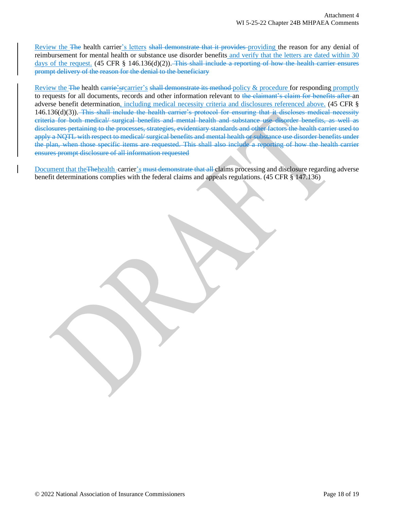Review the The health carrier's letters shall demonstrate that it provides providing the reason for any denial of reimbursement for mental health or substance use disorder benefits and verify that the letters are dated within 30 days of the request. (45 CFR § 146.136(d)(2)). This shall include a reporting of how the health carrier ensures prompt delivery of the reason for the denial to the beneficiary

Review the The health carrie's recarrier's shall demonstrate its method policy & procedure for responding promptly to requests for all documents, records and other information relevant to the claimant's claim for benefits after an adverse benefit determination, including medical necessity criteria and disclosures referenced above. (45 CFR § 146.136(d)(3)). This shall include the health carrier's protocol for ensuring that it discloses medical necessity criteria for both medical/ surgical benefits and mental health and substance use disorder benefits, as well as disclosures pertaining to the processes, strategies, evidentiary standards and other factors the health carrier used to apply a NQTL with respect to medical/ surgical benefits and mental health or substance use disorder benefits under the plan, when those specific items are requested. This shall also include a reporting of how the health carrier ensures prompt disclosure of all information requested

Document that the Thehealth -carrier's must demonstrate that all claims processing and disclosure regarding adverse benefit determinations complies with the federal claims and appeals regulations. (45 CFR § 147.136)